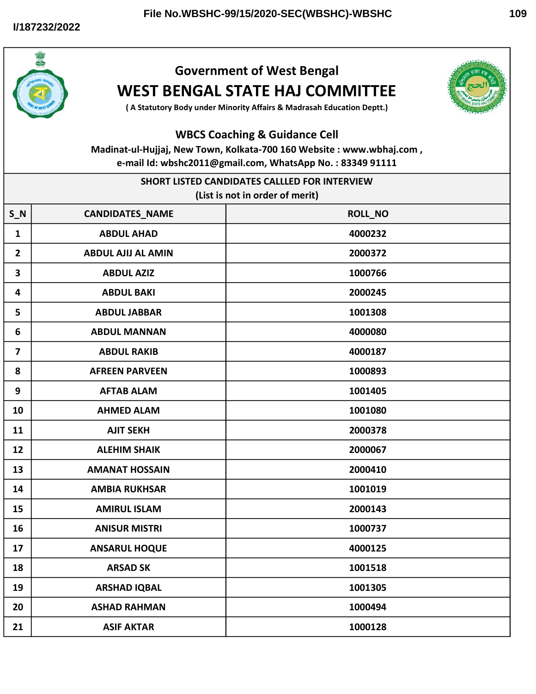

## Government of West Bengal WEST BENGAL STATE HAJ COMMITTEE



( A Statutory Body under Minority Affairs & Madrasah Education Deptt.)

## WBCS Coaching & Guidance Cell

Madinat-ul-Hujjaj, New Town, Kolkata-700 160 Website : www.wbhaj.com , e-mail Id: wbshc2011@gmail.com, WhatsApp No. : 83349 91111

| SHORT LISTED CANDIDATES CALLLED FOR INTERVIEW |                           |         |  |
|-----------------------------------------------|---------------------------|---------|--|
| (List is not in order of merit)               |                           |         |  |
| $S_N$                                         | <b>CANDIDATES_NAME</b>    | ROLL_NO |  |
| $\mathbf{1}$                                  | <b>ABDUL AHAD</b>         | 4000232 |  |
| $\overline{2}$                                | <b>ABDUL AJIJ AL AMIN</b> | 2000372 |  |
| 3                                             | <b>ABDUL AZIZ</b>         | 1000766 |  |
| 4                                             | <b>ABDUL BAKI</b>         | 2000245 |  |
| 5                                             | <b>ABDUL JABBAR</b>       | 1001308 |  |
| 6                                             | <b>ABDUL MANNAN</b>       | 4000080 |  |
| $\overline{\mathbf{z}}$                       | <b>ABDUL RAKIB</b>        | 4000187 |  |
| 8                                             | <b>AFREEN PARVEEN</b>     | 1000893 |  |
| 9                                             | <b>AFTAB ALAM</b>         | 1001405 |  |
| 10                                            | <b>AHMED ALAM</b>         | 1001080 |  |
| 11                                            | <b>AJIT SEKH</b>          | 2000378 |  |
| 12                                            | <b>ALEHIM SHAIK</b>       | 2000067 |  |
| 13                                            | <b>AMANAT HOSSAIN</b>     | 2000410 |  |
| 14                                            | <b>AMBIA RUKHSAR</b>      | 1001019 |  |
| 15                                            | <b>AMIRUL ISLAM</b>       | 2000143 |  |
| 16                                            | <b>ANISUR MISTRI</b>      | 1000737 |  |
| 17                                            | <b>ANSARUL HOQUE</b>      | 4000125 |  |
| 18                                            | <b>ARSAD SK</b>           | 1001518 |  |
| 19                                            | <b>ARSHAD IQBAL</b>       | 1001305 |  |
| 20                                            | <b>ASHAD RAHMAN</b>       | 1000494 |  |
| 21                                            | <b>ASIF AKTAR</b>         | 1000128 |  |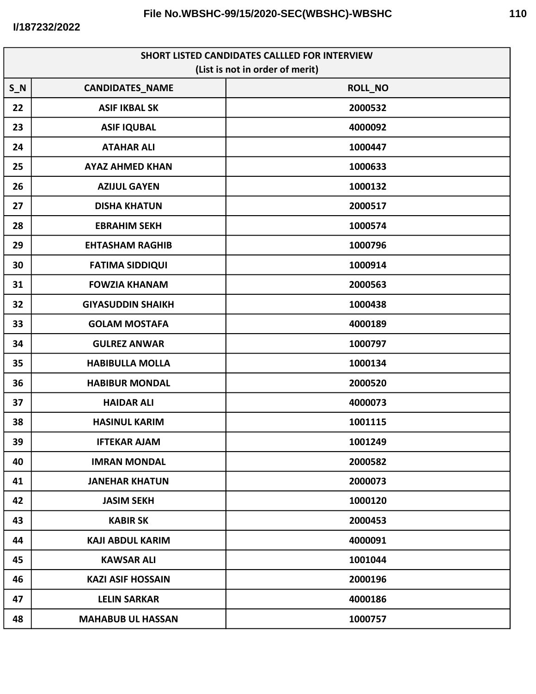**I/187232/2022**

| <b>SHORT LISTED CANDIDATES CALLLED FOR INTERVIEW</b><br>(List is not in order of merit) |                          |         |
|-----------------------------------------------------------------------------------------|--------------------------|---------|
| $S_N$                                                                                   | <b>CANDIDATES_NAME</b>   | ROLL_NO |
| 22                                                                                      | <b>ASIF IKBAL SK</b>     | 2000532 |
| 23                                                                                      | <b>ASIF IQUBAL</b>       | 4000092 |
| 24                                                                                      | <b>ATAHAR ALI</b>        | 1000447 |
| 25                                                                                      | <b>AYAZ AHMED KHAN</b>   | 1000633 |
| 26                                                                                      | <b>AZIJUL GAYEN</b>      | 1000132 |
| 27                                                                                      | <b>DISHA KHATUN</b>      | 2000517 |
| 28                                                                                      | <b>EBRAHIM SEKH</b>      | 1000574 |
| 29                                                                                      | <b>EHTASHAM RAGHIB</b>   | 1000796 |
| 30                                                                                      | <b>FATIMA SIDDIQUI</b>   | 1000914 |
| 31                                                                                      | <b>FOWZIA KHANAM</b>     | 2000563 |
| 32                                                                                      | <b>GIYASUDDIN SHAIKH</b> | 1000438 |
| 33                                                                                      | <b>GOLAM MOSTAFA</b>     | 4000189 |
| 34                                                                                      | <b>GULREZ ANWAR</b>      | 1000797 |
| 35                                                                                      | <b>HABIBULLA MOLLA</b>   | 1000134 |
| 36                                                                                      | <b>HABIBUR MONDAL</b>    | 2000520 |
| 37                                                                                      | <b>HAIDAR ALI</b>        | 4000073 |
| 38                                                                                      | <b>HASINUL KARIM</b>     | 1001115 |
| 39                                                                                      | <b>IFTEKAR AJAM</b>      | 1001249 |
| 40                                                                                      | <b>IMRAN MONDAL</b>      | 2000582 |
| 41                                                                                      | <b>JANEHAR KHATUN</b>    | 2000073 |
| 42                                                                                      | <b>JASIM SEKH</b>        | 1000120 |
| 43                                                                                      | <b>KABIR SK</b>          | 2000453 |
| 44                                                                                      | <b>KAJI ABDUL KARIM</b>  | 4000091 |
| 45                                                                                      | <b>KAWSAR ALI</b>        | 1001044 |
| 46                                                                                      | <b>KAZI ASIF HOSSAIN</b> | 2000196 |
| 47                                                                                      | <b>LELIN SARKAR</b>      | 4000186 |
| 48                                                                                      | <b>MAHABUB UL HASSAN</b> | 1000757 |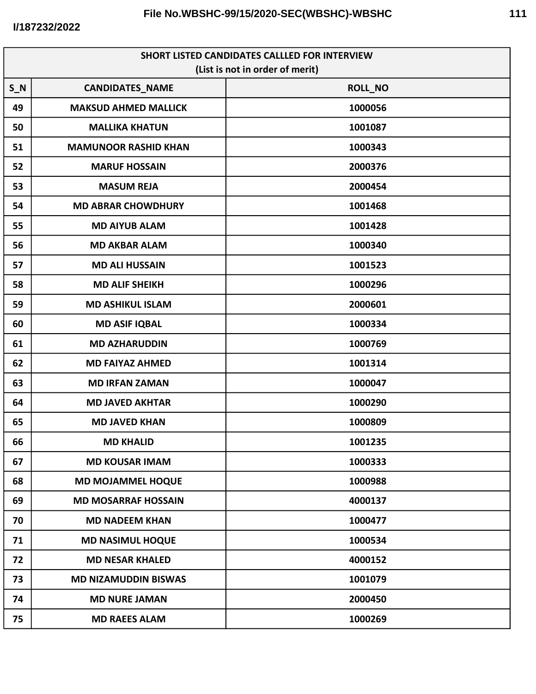| <b>SHORT LISTED CANDIDATES CALLLED FOR INTERVIEW</b> |                             |                |  |
|------------------------------------------------------|-----------------------------|----------------|--|
| (List is not in order of merit)                      |                             |                |  |
| $S_N$                                                | <b>CANDIDATES_NAME</b>      | <b>ROLL_NO</b> |  |
| 49                                                   | <b>MAKSUD AHMED MALLICK</b> | 1000056        |  |
| 50                                                   | <b>MALLIKA KHATUN</b>       | 1001087        |  |
| 51                                                   | <b>MAMUNOOR RASHID KHAN</b> | 1000343        |  |
| 52                                                   | <b>MARUF HOSSAIN</b>        | 2000376        |  |
| 53                                                   | <b>MASUM REJA</b>           | 2000454        |  |
| 54                                                   | <b>MD ABRAR CHOWDHURY</b>   | 1001468        |  |
| 55                                                   | <b>MD AIYUB ALAM</b>        | 1001428        |  |
| 56                                                   | <b>MD AKBAR ALAM</b>        | 1000340        |  |
| 57                                                   | <b>MD ALI HUSSAIN</b>       | 1001523        |  |
| 58                                                   | <b>MD ALIF SHEIKH</b>       | 1000296        |  |
| 59                                                   | <b>MD ASHIKUL ISLAM</b>     | 2000601        |  |
| 60                                                   | <b>MD ASIF IQBAL</b>        | 1000334        |  |
| 61                                                   | <b>MD AZHARUDDIN</b>        | 1000769        |  |
| 62                                                   | <b>MD FAIYAZ AHMED</b>      | 1001314        |  |
| 63                                                   | <b>MD IRFAN ZAMAN</b>       | 1000047        |  |
| 64                                                   | <b>MD JAVED AKHTAR</b>      | 1000290        |  |
| 65                                                   | <b>MD JAVED KHAN</b>        | 1000809        |  |
| 66                                                   | <b>MD KHALID</b>            | 1001235        |  |
| 67                                                   | <b>MD KOUSAR IMAM</b>       | 1000333        |  |
| 68                                                   | <b>MD MOJAMMEL HOQUE</b>    | 1000988        |  |
| 69                                                   | <b>MD MOSARRAF HOSSAIN</b>  | 4000137        |  |
| 70                                                   | <b>MD NADEEM KHAN</b>       | 1000477        |  |
| 71                                                   | <b>MD NASIMUL HOQUE</b>     | 1000534        |  |
| 72                                                   | <b>MD NESAR KHALED</b>      | 4000152        |  |
| 73                                                   | <b>MD NIZAMUDDIN BISWAS</b> | 1001079        |  |
| 74                                                   | <b>MD NURE JAMAN</b>        | 2000450        |  |
| 75                                                   | <b>MD RAEES ALAM</b>        | 1000269        |  |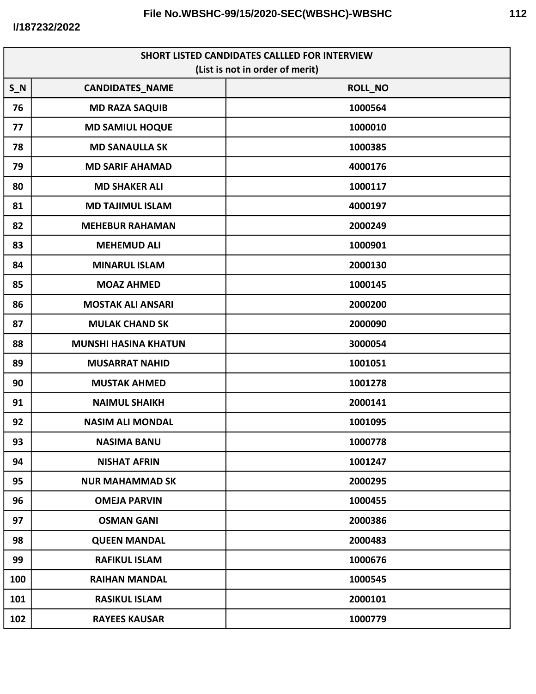| <b>SHORT LISTED CANDIDATES CALLLED FOR INTERVIEW</b> |                             |         |
|------------------------------------------------------|-----------------------------|---------|
| (List is not in order of merit)                      |                             |         |
| $S_N$                                                | <b>CANDIDATES_NAME</b>      | ROLL_NO |
| 76                                                   | <b>MD RAZA SAQUIB</b>       | 1000564 |
| 77                                                   | <b>MD SAMIUL HOQUE</b>      | 1000010 |
| 78                                                   | <b>MD SANAULLA SK</b>       | 1000385 |
| 79                                                   | <b>MD SARIF AHAMAD</b>      | 4000176 |
| 80                                                   | <b>MD SHAKER ALI</b>        | 1000117 |
| 81                                                   | <b>MD TAJIMUL ISLAM</b>     | 4000197 |
| 82                                                   | <b>MEHEBUR RAHAMAN</b>      | 2000249 |
| 83                                                   | <b>MEHEMUD ALI</b>          | 1000901 |
| 84                                                   | <b>MINARUL ISLAM</b>        | 2000130 |
| 85                                                   | <b>MOAZ AHMED</b>           | 1000145 |
| 86                                                   | <b>MOSTAK ALI ANSARI</b>    | 2000200 |
| 87                                                   | <b>MULAK CHAND SK</b>       | 2000090 |
| 88                                                   | <b>MUNSHI HASINA KHATUN</b> | 3000054 |
| 89                                                   | <b>MUSARRAT NAHID</b>       | 1001051 |
| 90                                                   | <b>MUSTAK AHMED</b>         | 1001278 |
| 91                                                   | <b>NAIMUL SHAIKH</b>        | 2000141 |
| 92                                                   | <b>NASIM ALI MONDAL</b>     | 1001095 |
| 93                                                   | <b>NASIMA BANU</b>          | 1000778 |
| 94                                                   | <b>NISHAT AFRIN</b>         | 1001247 |
| 95                                                   | <b>NUR MAHAMMAD SK</b>      | 2000295 |
| 96                                                   | <b>OMEJA PARVIN</b>         | 1000455 |
| 97                                                   | <b>OSMAN GANI</b>           | 2000386 |
| 98                                                   | <b>QUEEN MANDAL</b>         | 2000483 |
| 99                                                   | <b>RAFIKUL ISLAM</b>        | 1000676 |
| 100                                                  | <b>RAIHAN MANDAL</b>        | 1000545 |
| 101                                                  | <b>RASIKUL ISLAM</b>        | 2000101 |
| 102                                                  | <b>RAYEES KAUSAR</b>        | 1000779 |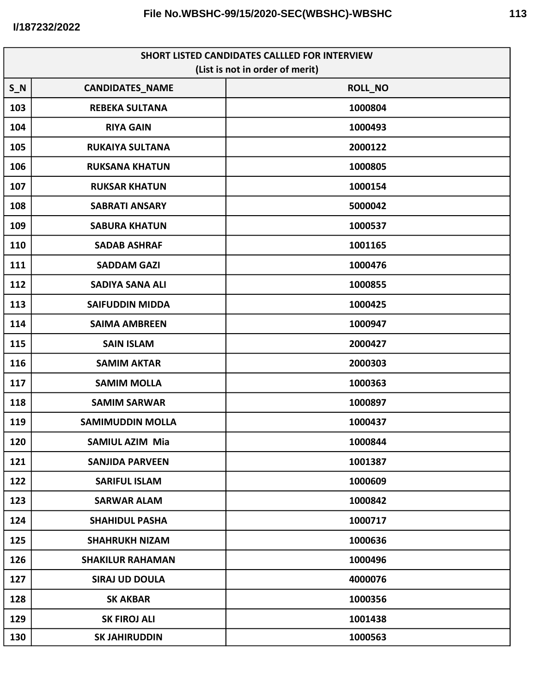| SHORT LISTED CANDIDATES CALLLED FOR INTERVIEW<br>(List is not in order of merit) |                         |                |  |
|----------------------------------------------------------------------------------|-------------------------|----------------|--|
| $S_N$                                                                            | <b>CANDIDATES_NAME</b>  | <b>ROLL_NO</b> |  |
| 103                                                                              | <b>REBEKA SULTANA</b>   | 1000804        |  |
| 104                                                                              | <b>RIYA GAIN</b>        | 1000493        |  |
| 105                                                                              | <b>RUKAIYA SULTANA</b>  | 2000122        |  |
| 106                                                                              | <b>RUKSANA KHATUN</b>   | 1000805        |  |
| 107                                                                              | <b>RUKSAR KHATUN</b>    | 1000154        |  |
| 108                                                                              | <b>SABRATI ANSARY</b>   | 5000042        |  |
| 109                                                                              | <b>SABURA KHATUN</b>    | 1000537        |  |
| 110                                                                              |                         |                |  |
|                                                                                  | <b>SADAB ASHRAF</b>     | 1001165        |  |
| 111                                                                              | <b>SADDAM GAZI</b>      | 1000476        |  |
| 112                                                                              | <b>SADIYA SANA ALI</b>  | 1000855        |  |
| 113                                                                              | <b>SAIFUDDIN MIDDA</b>  | 1000425        |  |
| 114                                                                              | <b>SAIMA AMBREEN</b>    | 1000947        |  |
| 115                                                                              | <b>SAIN ISLAM</b>       | 2000427        |  |
| 116                                                                              | <b>SAMIM AKTAR</b>      | 2000303        |  |
| 117                                                                              | <b>SAMIM MOLLA</b>      | 1000363        |  |
| 118                                                                              | <b>SAMIM SARWAR</b>     | 1000897        |  |
| 119                                                                              | <b>SAMIMUDDIN MOLLA</b> | 1000437        |  |
| 120                                                                              | SAMIUL AZIM Mia         | 1000844        |  |
| 121                                                                              | <b>SANJIDA PARVEEN</b>  | 1001387        |  |
| 122                                                                              | <b>SARIFUL ISLAM</b>    | 1000609        |  |
| 123                                                                              | <b>SARWAR ALAM</b>      | 1000842        |  |
| 124                                                                              | <b>SHAHIDUL PASHA</b>   | 1000717        |  |
| 125                                                                              | <b>SHAHRUKH NIZAM</b>   | 1000636        |  |
| 126                                                                              | <b>SHAKILUR RAHAMAN</b> | 1000496        |  |
| 127                                                                              | <b>SIRAJ UD DOULA</b>   | 4000076        |  |
| 128                                                                              | <b>SK AKBAR</b>         | 1000356        |  |
| 129                                                                              | <b>SK FIROJ ALI</b>     | 1001438        |  |
| 130                                                                              | <b>SK JAHIRUDDIN</b>    | 1000563        |  |